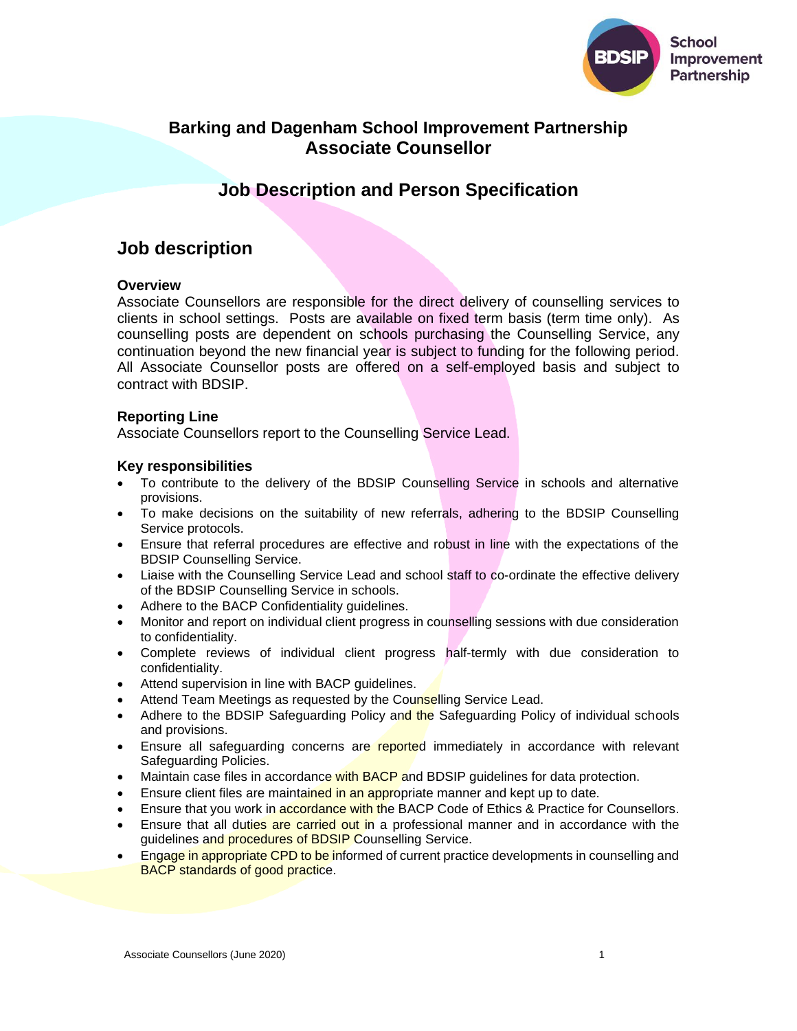

# **Barking and Dagenham School Improvement Partnership Associate Counsellor**

# **Job Description and Person Specification**

# **Job description**

## **Overview**

Associate Counsellors are responsible for the direct delivery of counselling services to clients in school settings. Posts are available on fixed term basis (term time only). As counselling posts are dependent on schools purchasing the Counselling Service, any continuation beyond the new financial year is subject to funding for the following period. All Associate Counsellor posts are offered on a self-employed basis and subject to contract with BDSIP.

## **Reporting Line**

Associate Counsellors report to the Counselling Service Lead.

### **Key responsibilities**

- To contribute to the delivery of the BDSIP Counselling Service in schools and alternative provisions.
- To make decisions on the suitability of new referrals, adhering to the BDSIP Counselling Service protocols.
- Ensure that referral procedures are effective and robust in line with the expectations of the BDSIP Counselling Service.
- Liaise with the Counselling Service Lead and school staff to co-ordinate the effective delivery of the BDSIP Counselling Service in schools.
- Adhere to the BACP Confidentiality guidelines.
- Monitor and report on individual client progress in counselling sessions with due consideration to confidentiality.
- Complete reviews of individual client progress half-termly with due consideration to confidentiality.
- Attend supervision in line with BACP guidelines.
- Attend Team Meetings as requested by the Counselling Service Lead.
- Adhere to the BDSIP Safeguarding Policy and the Safeguarding Policy of individual schools and provisions.
- Ensure all safeguarding concerns are reported immediately in accordance with relevant Safeguarding Policies.
- Maintain case files in accordance with BACP and BDSIP quidelines for data protection.
- Ensure client files are maintained in an appropriate manner and kept up to date.
- Ensure that you work in accordance with the BACP Code of Ethics & Practice for Counsellors.
- Ensure that all duties are carried out in a professional manner and in accordance with the guidelines and procedures of BDSIP Counselling Service.
- Engage in appropriate CPD to be informed of current practice developments in counselling and BACP standards of good practice.